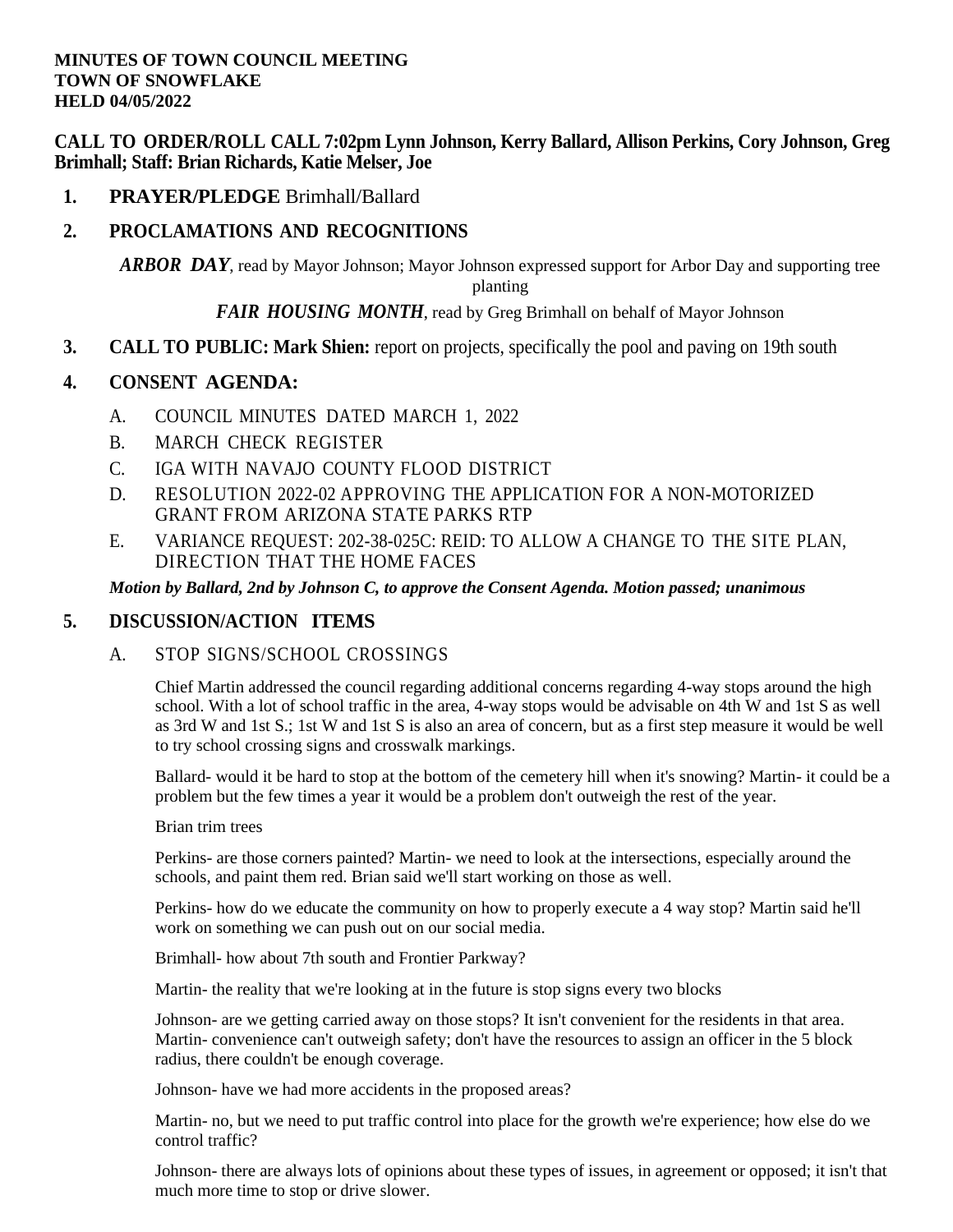**CALL TO ORDER/ROLL CALL 7:02pm Lynn Johnson, Kerry Ballard, Allison Perkins, Cory Johnson, Greg Brimhall; Staff: Brian Richards, Katie Melser, Joe**

**1. PRAYER/PLEDGE** Brimhall/Ballard

# **2. PROCLAMATIONS AND RECOGNITIONS**

*[ARBOR](file:///C:/Windows/TEMP/CoverSheet.aspx) DAY*, read by Mayor Johnson; Mayor Johnson expressed support for Arbor Day and supporting tree planting

### *FAIR [HOUSING](file:///C:/Windows/TEMP/CoverSheet.aspx) MONTH*, read by Greg Brimhall on behalf of Mayor Johnson

**3. CALL TO PUBLIC: Mark Shien:** report on projects, specifically the pool and paving on 19th south

### **4. CONSENT AGENDA:**

- A. [COUNCIL](file:///C:/Windows/TEMP/CoverSheet.aspx) MINUTES DATED MARCH 1, 2022
- B. MARCH CHECK [REGISTER](file:///C:/Windows/TEMP/CoverSheet.aspx)
- C. IGA WITH NAVAJO COUNTY FLOOD [DISTRICT](file:///C:/Windows/TEMP/CoverSheet.aspx)
- D. [RESOLUTION 2022-02 APPROVING THE APPLICATION FOR A NON-MOTORIZED](file:///C:/Windows/TEMP/CoverSheet.aspx) GRANT FROM [ARIZONA STATE PARKS](file:///C:/Windows/TEMP/CoverSheet.aspx) RTP
- E. VARIANCE [REQUEST: 202-38-025C: REID: TO](file:///C:/Windows/TEMP/CoverSheet.aspx) ALLOW A CHANGE TO THE SITE PLAN, DIRECTION [THAT THE HOME FACES](file:///C:/Windows/TEMP/CoverSheet.aspx)

#### *Motion by Ballard, 2nd by Johnson C, to approve the Consent Agenda. Motion passed; unanimous*

### **5. DISCUSSION/ACTION ITEMS**

### A. STOP [SIGNS/SCHOOL](file:///C:/Windows/TEMP/CoverSheet.aspx) CROSSINGS

Chief Martin addressed the council regarding additional concerns regarding 4-way stops around the high school. With a lot of school traffic in the area, 4-way stops would be advisable on 4th W and 1st S as well as 3rd W and 1st S.; 1st W and 1st S is also an area of concern, but as a first step measure it would be well to try school crossing signs and crosswalk markings.

Ballard- would it be hard to stop at the bottom of the cemetery hill when it's snowing? Martin- it could be a problem but the few times a year it would be a problem don't outweigh the rest of the year.

#### Brian trim trees

Perkins- are those corners painted? Martin- we need to look at the intersections, especially around the schools, and paint them red. Brian said we'll start working on those as well.

Perkins- how do we educate the community on how to properly execute a 4 way stop? Martin said he'll work on something we can push out on our social media.

Brimhall- how about 7th south and Frontier Parkway?

Martin- the reality that we're looking at in the future is stop signs every two blocks

Johnson- are we getting carried away on those stops? It isn't convenient for the residents in that area. Martin- convenience can't outweigh safety; don't have the resources to assign an officer in the 5 block radius, there couldn't be enough coverage.

Johnson- have we had more accidents in the proposed areas?

Martin- no, but we need to put traffic control into place for the growth we're experience; how else do we control traffic?

Johnson- there are always lots of opinions about these types of issues, in agreement or opposed; it isn't that much more time to stop or drive slower.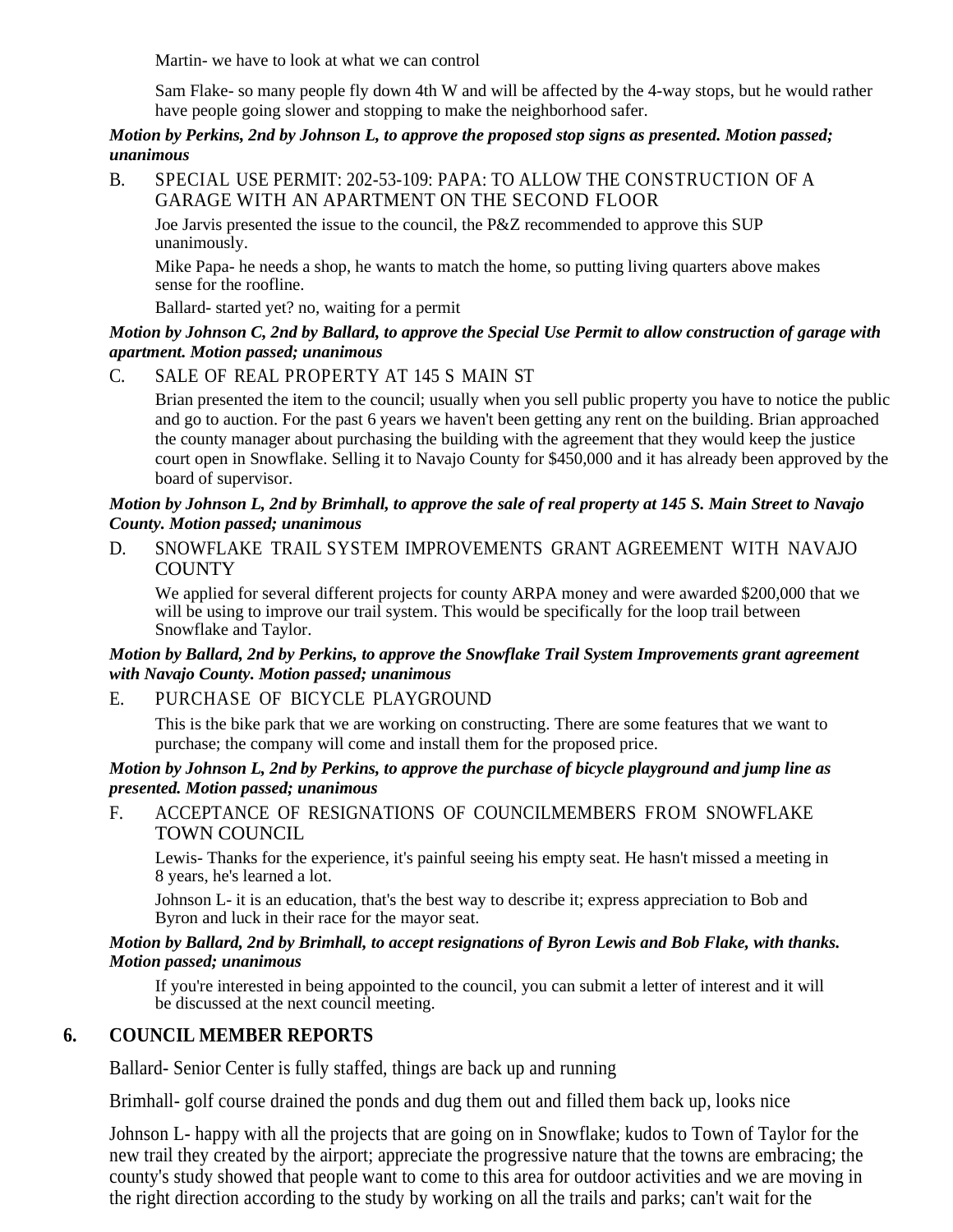Martin- we have to look at what we can control

Sam Flake- so many people fly down 4th W and will be affected by the 4-way stops, but he would rather have people going slower and stopping to make the neighborhood safer.

#### *Motion by Perkins, 2nd by Johnson L, to approve the proposed stop signs as presented. Motion passed; unanimous*

B. [SPECIAL USE PERMIT: 202-53-109: PAPA: TO ALLOW THE CONSTRUCTION OF A](file:///C:/Windows/TEMP/CoverSheet.aspx)  GARAGE WITH AN [APARTMENT ON THE SECOND FLOOR](file:///C:/Windows/TEMP/CoverSheet.aspx)

Joe Jarvis presented the issue to the council, the P&Z recommended to approve this SUP unanimously.

Mike Papa- he needs a shop, he wants to match the home, so putting living quarters above makes sense for the roofline.

Ballard- started yet? no, waiting for a permit

### *Motion by Johnson C, 2nd by Ballard, to approve the Special Use Permit to allow construction of garage with apartment. Motion passed; unanimous*

## C. SALE OF REAL [PROPERTY](file:///C:/Windows/TEMP/CoverSheet.aspx) AT 145 S MAIN ST

Brian presented the item to the council; usually when you sell public property you have to notice the public and go to auction. For the past 6 years we haven't been getting any rent on the building. Brian approached the county manager about purchasing the building with the agreement that they would keep the justice court open in Snowflake. Selling it to Navajo County for \$450,000 and it has already been approved by the board of supervisor.

### *Motion by Johnson L, 2nd by Brimhall, to approve the sale of real property at 145 S. Main Street to Navajo County. Motion passed; unanimous*

D. SNOWFLAKE [TRAIL SYSTEM IMPROVEMENTS](file:///C:/Windows/TEMP/CoverSheet.aspx) GRANT AGREEMENT WITH NAVAJO **[COUNTY](file:///C:/Windows/TEMP/CoverSheet.aspx)** 

We applied for several different projects for county ARPA money and were awarded \$200,000 that we will be using to improve our trail system. This would be specifically for the loop trail between Snowflake and Taylor.

#### *Motion by Ballard, 2nd by Perkins, to approve the Snowflake Trail System Improvements grant agreement with Navajo County. Motion passed; unanimous*

## E. PURCHASE OF BICYCLE [PLAYGROUND](file:///C:/Windows/TEMP/CoverSheet.aspx)

This is the bike park that we are working on constructing. There are some features that we want to purchase; the company will come and install them for the proposed price.

### *Motion by Johnson L, 2nd by Perkins, to approve the purchase of bicycle playground and jump line as presented. Motion passed; unanimous*

F. ACCEPTANCE OF RESIGNATIONS OF [COUNCILMEMBERS](file:///C:/Windows/TEMP/CoverSheet.aspx) FROM SNOWFLAKE [TOWN COUNCIL](file:///C:/Windows/TEMP/CoverSheet.aspx)

Lewis- Thanks for the experience, it's painful seeing his empty seat. He hasn't missed a meeting in 8 years, he's learned a lot.

Johnson L- it is an education, that's the best way to describe it; express appreciation to Bob and Byron and luck in their race for the mayor seat.

### *Motion by Ballard, 2nd by Brimhall, to accept resignations of Byron Lewis and Bob Flake, with thanks. Motion passed; unanimous*

If you're interested in being appointed to the council, you can submit a letter of interest and it will be discussed at the next council meeting.

## **6. COUNCIL MEMBER REPORTS**

Ballard- Senior Center is fully staffed, things are back up and running

Brimhall- golf course drained the ponds and dug them out and filled them back up, looks nice

Johnson L- happy with all the projects that are going on in Snowflake; kudos to Town of Taylor for the new trail they created by the airport; appreciate the progressive nature that the towns are embracing; the county's study showed that people want to come to this area for outdoor activities and we are moving in the right direction according to the study by working on all the trails and parks; can't wait for the